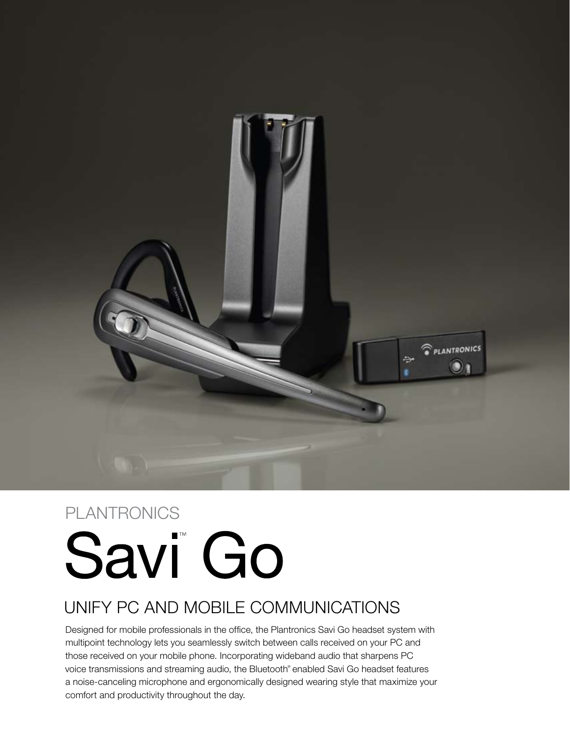

# PLANTRONICS

# Savi<sup>co</sup> Go

# Unify PC and mobile communications

Designed for mobile professionals in the office, the Plantronics Savi Go headset system with multipoint technology lets you seamlessly switch between calls received on your PC and those received on your mobile phone. Incorporating wideband audio that sharpens PC voice transmissions and streaming audio, the Bluetooth® enabled Savi Go headset features a noise-canceling microphone and ergonomically designed wearing style that maximize your comfort and productivity throughout the day.